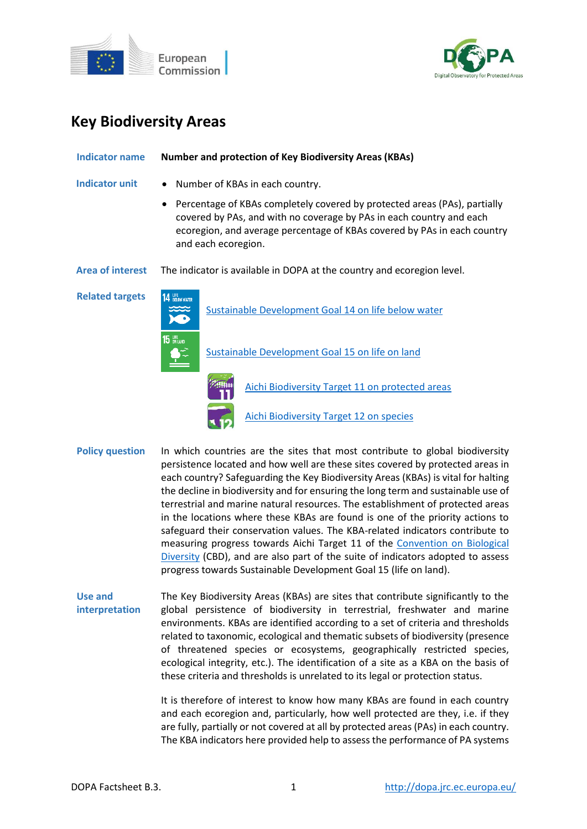



# **Key Biodiversity Areas**

# **Indicator name Number and protection of Key Biodiversity Areas (KBAs) Indicator unit** • Number of KBAs in each country. Percentage of KBAs completely covered by protected areas (PAs), partially covered by PAs, and with no coverage by PAs in each country and each ecoregion, and average percentage of KBAs covered by PAs in each country and each ecoregion. **Area of interest** The indicator is available in DOPA at the country and ecoregion level. **Related targets** [Sustainable Development Goal 14](https://sdgs.un.org/goals/goal14) on life below water **In WEARN** [Sustainable Development Goal 15 on life on land](https://sdgs.un.org/goals/goal15) [Aichi Biodiversity Target 11 on protected areas](http://www.cbd.int/sp/targets/rationale/target-11/) [Aichi Biodiversity Target 12 on species](http://www.cbd.int/sp/targets/rationale/target-12/) Policy question In which countries are the sites that most contribute to global biodiversity persistence located and how well are these sites covered by protected areas in each country? Safeguarding the Key Biodiversity Areas (KBAs) is vital for halting the decline in biodiversity and for ensuring the long term and sustainable use of terrestrial and marine natural resources. The establishment of protected areas in the locations where these KBAs are found is one of the priority actions to

safeguard their conservation values. The KBA-related indicators contribute to measuring progress towards Aichi Target 11 of the [Convention on Biological](http://www.cbd.int/)  [Diversity](http://www.cbd.int/) (CBD), and are also part of the suite of indicators adopted to assess progress towards Sustainable Development Goal 15 (life on land).

**Use and interpretation** The Key Biodiversity Areas (KBAs) are sites that contribute significantly to the global persistence of biodiversity in terrestrial, freshwater and marine environments. KBAs are identified according to a set of criteria and thresholds related to taxonomic, ecological and thematic subsets of biodiversity (presence of threatened species or ecosystems, geographically restricted species, ecological integrity, etc.). The identification of a site as a KBA on the basis of these criteria and thresholds is unrelated to its legal or protection status.

> It is therefore of interest to know how many KBAs are found in each country and each ecoregion and, particularly, how well protected are they, i.e. if they are fully, partially or not covered at all by protected areas (PAs) in each country. The KBA indicators here provided help to assess the performance of PA systems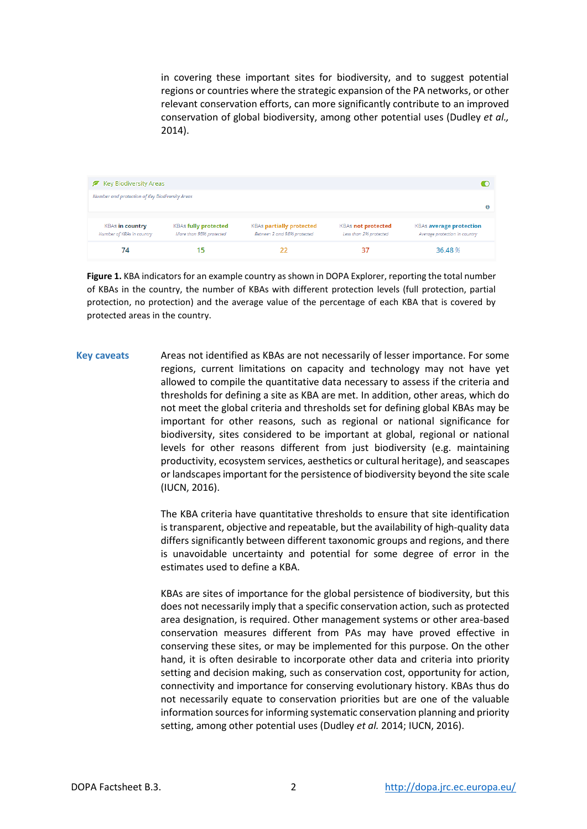in covering these important sites for biodiversity, and to suggest potential regions or countries where the strategic expansion of the PA networks, or other relevant conservation efforts, can more significantly contribute to an improved conservation of global biodiversity, among other potential uses (Dudley *et al.,* 2014).

| Key Biodiversity Areas                              |                                                        |                                                                |                                                      |                                                                 |
|-----------------------------------------------------|--------------------------------------------------------|----------------------------------------------------------------|------------------------------------------------------|-----------------------------------------------------------------|
| Number and protection of Key Biodiversity Areas     |                                                        |                                                                |                                                      |                                                                 |
| <b>KBAs in country</b><br>Number of KBAs in country | <b>KBAs fully protected</b><br>More than 98% protected | <b>KBAs partially protected</b><br>Between 2 and 98% protected | <b>KBAs not protected</b><br>Less than 296 protected | <b>KBAs average protection</b><br>Average protection in country |
| 74                                                  | 15                                                     | 22                                                             |                                                      | 36.48%                                                          |

**Figure 1.** KBA indicators for an example country as shown in DOPA Explorer, reporting the total number of KBAs in the country, the number of KBAs with different protection levels (full protection, partial protection, no protection) and the average value of the percentage of each KBA that is covered by protected areas in the country.

**Key caveats** Areas not identified as KBAs are not necessarily of lesser importance. For some regions, current limitations on capacity and technology may not have yet allowed to compile the quantitative data necessary to assess if the criteria and thresholds for defining a site as KBA are met. In addition, other areas, which do not meet the global criteria and thresholds set for defining global KBAs may be important for other reasons, such as regional or national significance for biodiversity, sites considered to be important at global, regional or national levels for other reasons different from just biodiversity (e.g. maintaining productivity, ecosystem services, aesthetics or cultural heritage), and seascapes or landscapes important for the persistence of biodiversity beyond the site scale (IUCN, 2016).

> The KBA criteria have quantitative thresholds to ensure that site identification is transparent, objective and repeatable, but the availability of high-quality data differs significantly between different taxonomic groups and regions, and there is unavoidable uncertainty and potential for some degree of error in the estimates used to define a KBA.

> KBAs are sites of importance for the global persistence of biodiversity, but this does not necessarily imply that a specific conservation action, such as protected area designation, is required. Other management systems or other area-based conservation measures different from PAs may have proved effective in conserving these sites, or may be implemented for this purpose. On the other hand, it is often desirable to incorporate other data and criteria into priority setting and decision making, such as conservation cost, opportunity for action, connectivity and importance for conserving evolutionary history. KBAs thus do not necessarily equate to conservation priorities but are one of the valuable information sources for informing systematic conservation planning and priority setting, among other potential uses (Dudley *et al.* 2014; IUCN, 2016).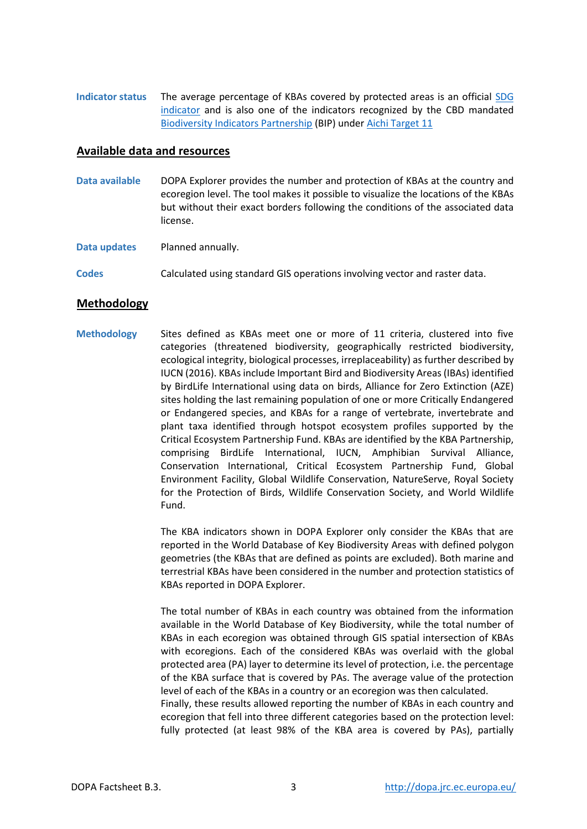**Indicator status** The average percentage of KBAs covered by protected areas is an official [SDG](https://unstats.un.org/sdgs/indicators/)  [indicator](https://unstats.un.org/sdgs/indicators/) and is also one of the indicators recognized by the CBD mandated [Biodiversity Indicators Partnership](http://www.bipindicators.net/) (BIP) under [Aichi Target 11](http://www.cbd.int/sp/targets/rationale/target-11/)

## **Available data and resources**

- **Data available** DOPA Explorer provides the number and protection of KBAs at the country and ecoregion level. The tool makes it possible to visualize the locations of the KBAs but without their exact borders following the conditions of the associated data license.
- **Data updates** Planned annually.
- **Codes** Calculated using standard GIS operations involving vector and raster data.

## **Methodology**

**Methodology** Sites defined as KBAs meet one or more of 11 criteria, clustered into five categories (threatened biodiversity, geographically restricted biodiversity, ecological integrity, biological processes, irreplaceability) as further described by IUCN (2016). KBAs include Important Bird and Biodiversity Areas (IBAs) identified by BirdLife International using data on birds, Alliance for Zero Extinction (AZE) sites holding the last remaining population of one or more Critically Endangered or Endangered species, and KBAs for a range of vertebrate, invertebrate and plant taxa identified through hotspot ecosystem profiles supported by the Critical Ecosystem Partnership Fund. KBAs are identified by the KBA Partnership, comprising BirdLife International, IUCN, Amphibian Survival Alliance, Conservation International, Critical Ecosystem Partnership Fund, Global Environment Facility, Global Wildlife Conservation, NatureServe, Royal Society for the Protection of Birds, Wildlife Conservation Society, and World Wildlife Fund.

> The KBA indicators shown in DOPA Explorer only consider the KBAs that are reported in the World Database of Key Biodiversity Areas with defined polygon geometries (the KBAs that are defined as points are excluded). Both marine and terrestrial KBAs have been considered in the number and protection statistics of KBAs reported in DOPA Explorer.

> The total number of KBAs in each country was obtained from the information available in the World Database of Key Biodiversity, while the total number of KBAs in each ecoregion was obtained through GIS spatial intersection of KBAs with ecoregions. Each of the considered KBAs was overlaid with the global protected area (PA) layer to determine its level of protection, i.e. the percentage of the KBA surface that is covered by PAs. The average value of the protection level of each of the KBAs in a country or an ecoregion was then calculated. Finally, these results allowed reporting the number of KBAs in each country and ecoregion that fell into three different categories based on the protection level: fully protected (at least 98% of the KBA area is covered by PAs), partially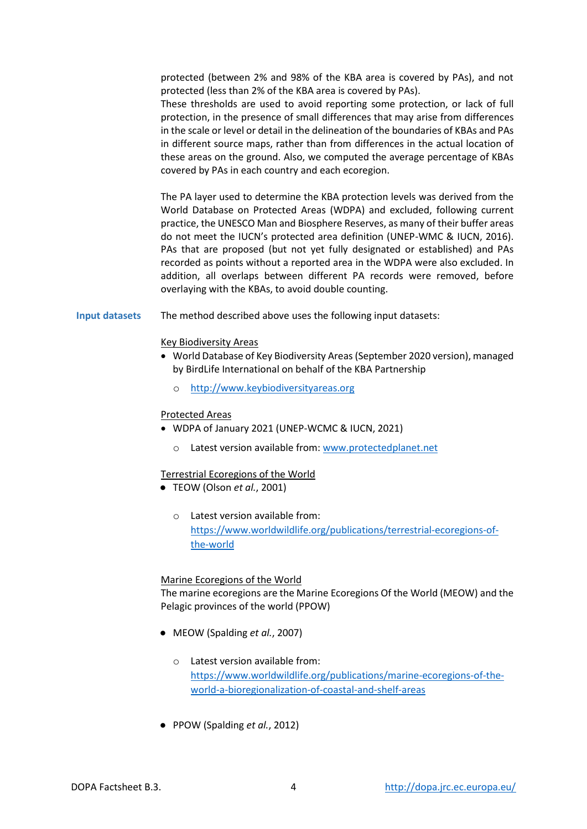protected (between 2% and 98% of the KBA area is covered by PAs), and not protected (less than 2% of the KBA area is covered by PAs).

These thresholds are used to avoid reporting some protection, or lack of full protection, in the presence of small differences that may arise from differences in the scale or level or detail in the delineation of the boundaries of KBAs and PAs in different source maps, rather than from differences in the actual location of these areas on the ground. Also, we computed the average percentage of KBAs covered by PAs in each country and each ecoregion.

The PA layer used to determine the KBA protection levels was derived from the World Database on Protected Areas (WDPA) and excluded, following current practice, the UNESCO Man and Biosphere Reserves, as many of their buffer areas do not meet the IUCN's protected area definition (UNEP-WMC & IUCN, 2016). PAs that are proposed (but not yet fully designated or established) and PAs recorded as points without a reported area in the WDPA were also excluded. In addition, all overlaps between different PA records were removed, before overlaying with the KBAs, to avoid double counting.

**Input datasets** The method described above uses the following input datasets:

#### Key Biodiversity Areas

- World Database of Key Biodiversity Areas(September 2020 version), managed by BirdLife International on behalf of the KBA Partnership
	- o [http://www.keybiodiversityareas.org](http://www.keybiodiversityareas.org/)

#### Protected Areas

- WDPA of January 2021 (UNEP-WCMC & IUCN, 2021)
	- o Latest version available from[: www.protectedplanet.net](http://www.protectedplanet.net/)

#### Terrestrial Ecoregions of the World

- TEOW (Olson *et al.*, 2001)
	- o Latest version available from: [https://www.worldwildlife.org/publications/terrestrial-ecoregions-of](https://www.worldwildlife.org/publications/terrestrial-ecoregions-of-the-world)[the-world](https://www.worldwildlife.org/publications/terrestrial-ecoregions-of-the-world)

#### Marine Ecoregions of the World

The marine ecoregions are the Marine Ecoregions Of the World (MEOW) and the Pelagic provinces of the world (PPOW)

- MEOW (Spalding *et al.*, 2007)
	- o Latest version available from: [https://www.worldwildlife.org/publications/marine-ecoregions-of-the](https://www.worldwildlife.org/publications/marine-ecoregions-of-the-world-a-bioregionalization-of-coastal-and-shelf-areas)[world-a-bioregionalization-of-coastal-and-shelf-areas](https://www.worldwildlife.org/publications/marine-ecoregions-of-the-world-a-bioregionalization-of-coastal-and-shelf-areas)
- PPOW (Spalding *et al.*, 2012)